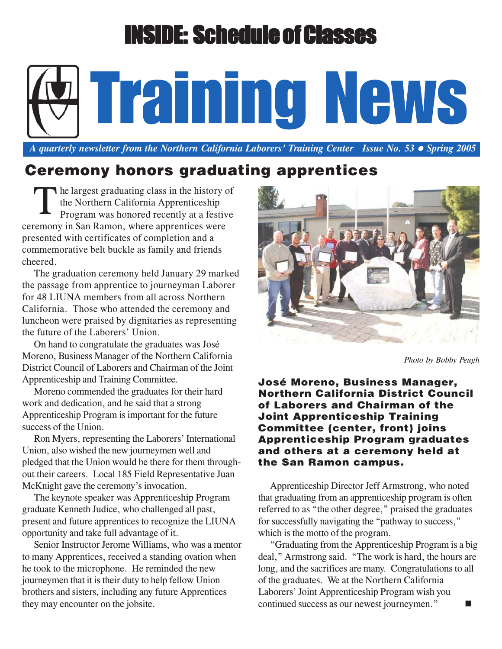# **NSIDE: Schedule of Classes**

 *A quarterly newsletter from the Northern California Laborers' Training Center Issue No. 53 Spring 2005*

Training News

## **Ceremony honors graduating apprentices**

The largest graduating class in the history of<br>the Northern California Apprenticeship<br>Program was honored recently at a festive the Northern California Apprenticeship Program was honored recently at a festive ceremony in San Ramon, where apprentices were presented with certificates of completion and a commemorative belt buckle as family and friends cheered.

The graduation ceremony held January 29 marked the passage from apprentice to journeyman Laborer for 48 LIUNA members from all across Northern California. Those who attended the ceremony and luncheon were praised by dignitaries as representing the future of the Laborers' Union.

On hand to congratulate the graduates was José Moreno, Business Manager of the Northern California District Council of Laborers and Chairman of the Joint Apprenticeship and Training Committee.

Moreno commended the graduates for their hard work and dedication, and he said that a strong Apprenticeship Program is important for the future success of the Union.

Ron Myers, representing the Laborers' International Union, also wished the new journeymen well and pledged that the Union would be there for them throughout their careers. Local 185 Field Representative Juan McKnight gave the ceremony's invocation.

The keynote speaker was Apprenticeship Program graduate Kenneth Judice, who challenged all past, present and future apprentices to recognize the LIUNA opportunity and take full advantage of it.

Senior Instructor Jerome Williams, who was a mentor to many Apprentices, received a standing ovation when he took to the microphone. He reminded the new journeymen that it is their duty to help fellow Union brothers and sisters, including any future Apprentices they may encounter on the jobsite.



*Photo by Bobby Peugh*

**José Moreno, Business Manager, Northern California District Council of Laborers and Chairman of the Joint Apprenticeship Training Committee (center, front) joins Apprenticeship Program graduates and others at a ceremony held at the San Ramon campus.**

Apprenticeship Director Jeff Armstrong, who noted that graduating from an apprenticeship program is often referred to as "the other degree," praised the graduates for successfully navigating the "pathway to success," which is the motto of the program.

"Graduating from the Apprenticeship Program is a big deal," Armstrong said. "The work is hard, the hours are long, and the sacrifices are many. Congratulations to all of the graduates. We at the Northern California Laborers' Joint Apprenticeship Program wish you continued success as our newest journeymen."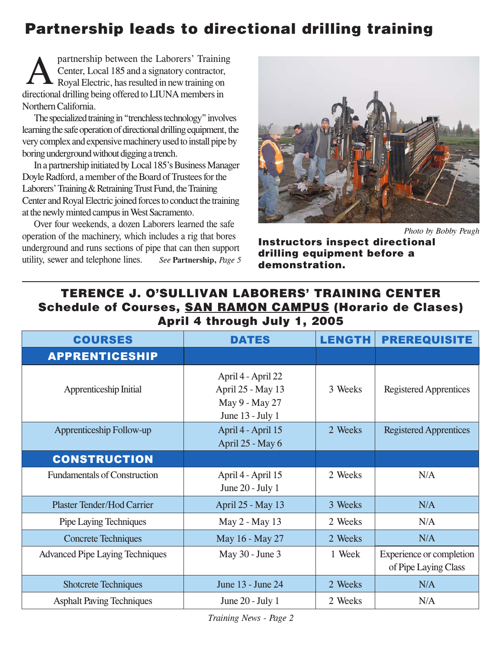# **Partnership leads to directional drilling training**

partnership between the Laborers' Training Center, Local 185 and a signatory contractor, Royal Electric, has resulted in new training on directional drilling being offered to LIUNA members in Northern California. A

The specialized training in "trenchless technology" involves learning the safe operation of directional drilling equipment, the very complex and expensive machinery used to install pipe by boring underground without digging a trench.

In a partnership initiated by Local 185's Business Manager Doyle Radford, a member of the Board of Trustees for the Laborers' Training & Retraining Trust Fund, the Training Center and Royal Electric joined forces to conduct the training at the newly minted campus in West Sacramento.

Over four weekends, a dozen Laborers learned the safe operation of the machinery, which includes a rig that bores underground and runs sections of pipe that can then support utility, sewer and telephone lines. *See* **Partnership,** *Page 5*



*Photo by Bobby Peugh*

**Instructors inspect directional drilling equipment before a demonstration.**

#### **TERENCE J. O'SULLIVAN LABORERS' TRAINING CENTER Schedule of Courses, SAN RAMON CAMPUS (Horario de Clases) April 4 through July 1, 2005**

| <b>COURSES</b>                         | <b>DATES</b>                                                                  | <b>LENGTH</b> | <b>PREREQUISITE</b>                              |
|----------------------------------------|-------------------------------------------------------------------------------|---------------|--------------------------------------------------|
| <b>APPRENTICESHIP</b>                  |                                                                               |               |                                                  |
| Apprenticeship Initial                 | April 4 - April 22<br>April 25 - May 13<br>May 9 - May 27<br>June 13 - July 1 | 3 Weeks       | <b>Registered Apprentices</b>                    |
| Apprenticeship Follow-up               | April 4 - April 15<br>April 25 - May 6                                        | 2 Weeks       | <b>Registered Apprentices</b>                    |
| <b>CONSTRUCTION</b>                    |                                                                               |               |                                                  |
| <b>Fundamentals of Construction</b>    | April 4 - April 15<br>June $20$ - July 1                                      | 2 Weeks       | N/A                                              |
| <b>Plaster Tender/Hod Carrier</b>      | April 25 - May 13                                                             | 3 Weeks       | N/A                                              |
| Pipe Laying Techniques                 | May 2 - May 13                                                                | 2 Weeks       | N/A                                              |
| <b>Concrete Techniques</b>             | May 16 - May 27                                                               | 2 Weeks       | N/A                                              |
| <b>Advanced Pipe Laying Techniques</b> | May 30 - June 3                                                               | 1 Week        | Experience or completion<br>of Pipe Laying Class |
| <b>Shotcrete Techniques</b>            | June 13 - June 24                                                             | 2 Weeks       | N/A                                              |
| <b>Asphalt Paving Techniques</b>       | June $20$ - July 1                                                            | 2 Weeks       | N/A                                              |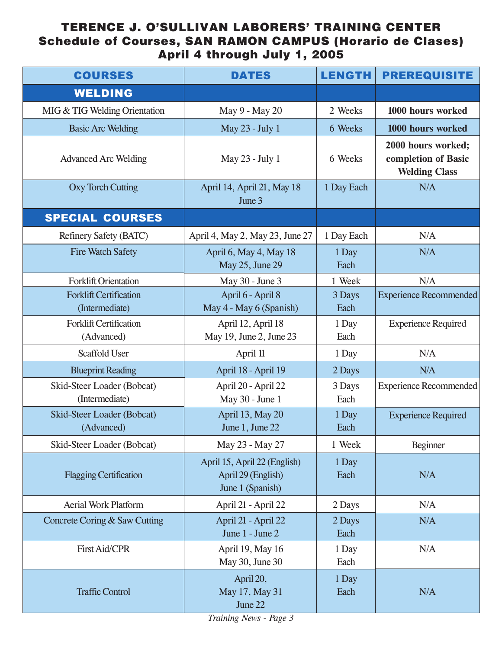#### **TERENCE J. O'SULLIVAN LABORERS' TRAINING CENTER Schedule of Courses, SAN RAMON CAMPUS (Horario de Clases) April 4 through July 1, 2005**

| <b>COURSES</b>                                  | <b>DATES</b>                                                           | <b>LENGTH</b>  | <b>PREREQUISITE</b>                                               |
|-------------------------------------------------|------------------------------------------------------------------------|----------------|-------------------------------------------------------------------|
| <b>WELDING</b>                                  |                                                                        |                |                                                                   |
| MIG & TIG Welding Orientation                   | May 9 - May 20                                                         | 2 Weeks        | 1000 hours worked                                                 |
| <b>Basic Arc Welding</b>                        | May 23 - July 1                                                        | 6 Weeks        | 1000 hours worked                                                 |
| <b>Advanced Arc Welding</b>                     | May 23 - July 1                                                        | 6 Weeks        | 2000 hours worked;<br>completion of Basic<br><b>Welding Class</b> |
| <b>Oxy Torch Cutting</b>                        | April 14, April 21, May 18<br>June 3                                   | 1 Day Each     | N/A                                                               |
| <b>SPECIAL COURSES</b>                          |                                                                        |                |                                                                   |
| Refinery Safety (BATC)                          | April 4, May 2, May 23, June 27                                        | 1 Day Each     | N/A                                                               |
| <b>Fire Watch Safety</b>                        | April 6, May 4, May 18<br>May 25, June 29                              | 1 Day<br>Each  | N/A                                                               |
| <b>Forklift Orientation</b>                     | May 30 - June 3                                                        | 1 Week         | N/A                                                               |
| <b>Forklift Certification</b><br>(Intermediate) | April 6 - April 8<br>May 4 - May 6 (Spanish)                           | 3 Days<br>Each | <b>Experience Recommended</b>                                     |
| <b>Forklift Certification</b><br>(Advanced)     | April 12, April 18<br>May 19, June 2, June 23                          | 1 Day<br>Each  | <b>Experience Required</b>                                        |
| <b>Scaffold User</b>                            | April 11                                                               | 1 Day          | N/A                                                               |
| <b>Blueprint Reading</b>                        | April 18 - April 19                                                    | 2 Days         | N/A                                                               |
| Skid-Steer Loader (Bobcat)<br>(Intermediate)    | April 20 - April 22<br>May 30 - June 1                                 | 3 Days<br>Each | <b>Experience Recommended</b>                                     |
| Skid-Steer Loader (Bobcat)<br>(Advanced)        | April 13, May 20<br>June 1, June 22                                    | 1 Day<br>Each  | <b>Experience Required</b>                                        |
| Skid-Steer Loader (Bobcat)                      | May 23 - May 27                                                        | 1 Week         | <b>Beginner</b>                                                   |
| <b>Flagging Certification</b>                   | April 15, April 22 (English)<br>April 29 (English)<br>June 1 (Spanish) | 1 Day<br>Each  | N/A                                                               |
| <b>Aerial Work Platform</b>                     | April 21 - April 22                                                    | 2 Days         | N/A                                                               |
| Concrete Coring & Saw Cutting                   | April 21 - April 22<br>June 1 - June 2                                 | 2 Days<br>Each | N/A                                                               |
| <b>First Aid/CPR</b>                            | April 19, May 16<br>May 30, June 30                                    | 1 Day<br>Each  | N/A                                                               |
| <b>Traffic Control</b>                          | April 20,<br>May 17, May 31<br>June 22                                 | 1 Day<br>Each  | N/A                                                               |

*Training News - Page 3*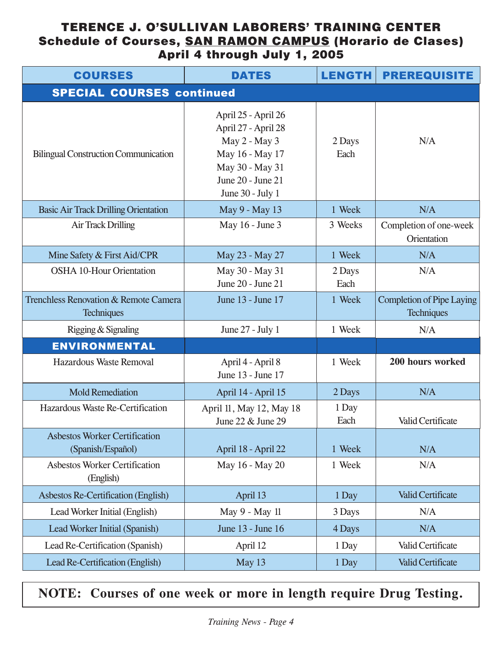#### **TERENCE J. O'SULLIVAN LABORERS' TRAINING CENTER Schedule of Courses, SAN RAMON CAMPUS (Horario de Clases) April 4 through July 1, 2005**

| <b>COURSES</b>                                             | <b>DATES</b>                                                                                                                               | <b>LENGTH</b>  | <b>PREREQUISITE</b>                                   |
|------------------------------------------------------------|--------------------------------------------------------------------------------------------------------------------------------------------|----------------|-------------------------------------------------------|
| <b>SPECIAL COURSES continued</b>                           |                                                                                                                                            |                |                                                       |
| <b>Bilingual Construction Communication</b>                | April 25 - April 26<br>April 27 - April 28<br>May 2 - May 3<br>May 16 - May 17<br>May 30 - May 31<br>June 20 - June 21<br>June 30 - July 1 | 2 Days<br>Each | N/A                                                   |
| <b>Basic Air Track Drilling Orientation</b>                | May 9 - May 13                                                                                                                             | 1 Week         | N/A                                                   |
| <b>Air Track Drilling</b>                                  | May 16 - June 3                                                                                                                            | 3 Weeks        | Completion of one-week<br>Orientation                 |
| Mine Safety & First Aid/CPR                                | May 23 - May 27                                                                                                                            | 1 Week         | N/A                                                   |
| <b>OSHA 10-Hour Orientation</b>                            | May 30 - May 31<br>June 20 - June 21                                                                                                       | 2 Days<br>Each | N/A                                                   |
| Trenchless Renovation & Remote Camera<br><b>Techniques</b> | June 13 - June 17                                                                                                                          | 1 Week         | <b>Completion of Pipe Laying</b><br><b>Techniques</b> |
| Rigging & Signaling                                        | June $27$ - July 1                                                                                                                         | 1 Week         | N/A                                                   |
| <b>ENVIRONMENTAL</b>                                       |                                                                                                                                            |                |                                                       |
| <b>Hazardous Waste Removal</b>                             | April 4 - April 8<br>June 13 - June 17                                                                                                     | 1 Week         | 200 hours worked                                      |
| <b>Mold Remediation</b>                                    | April 14 - April 15                                                                                                                        | 2 Days         | N/A                                                   |
| Hazardous Waste Re-Certification                           | April 11, May 12, May 18<br>June 22 & June 29                                                                                              | 1 Day<br>Each  | Valid Certificate                                     |
| <b>Asbestos Worker Certification</b><br>(Spanish/Español)  | April 18 - April 22                                                                                                                        | 1 Week         | N/A                                                   |
| <b>Asbestos Worker Certification</b><br>(English)          | May 16 - May 20                                                                                                                            | 1 Week         | N/A                                                   |
| Asbestos Re-Certification (English)                        | April 13                                                                                                                                   | 1 Day          | <b>Valid Certificate</b>                              |
| Lead Worker Initial (English)                              | May 9 - May 11                                                                                                                             | 3 Days         | N/A                                                   |
| <b>Lead Worker Initial (Spanish)</b>                       | June 13 - June 16                                                                                                                          | 4 Days         | N/A                                                   |
| Lead Re-Certification (Spanish)                            | April 12                                                                                                                                   | 1 Day          | Valid Certificate                                     |
| Lead Re-Certification (English)                            | May 13                                                                                                                                     | 1 Day          | <b>Valid Certificate</b>                              |

### **NOTE: Courses of one week or more in length require Drug Testing.**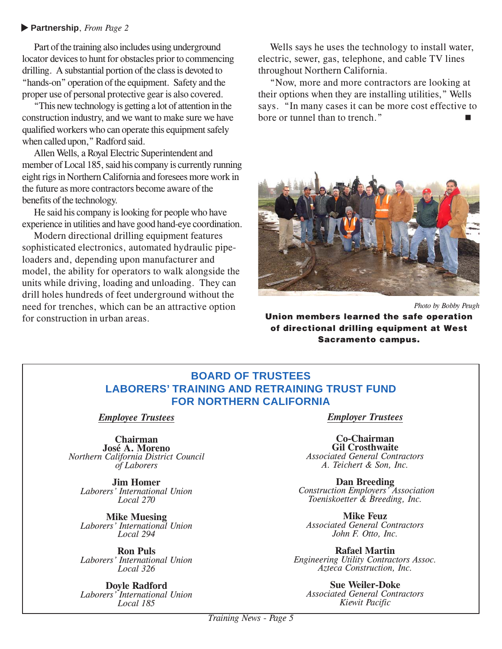#### **Partnership**, *From Page 2* ▼

Part of the training also includes using underground locator devices to hunt for obstacles prior to commencing drilling. A substantial portion of the class is devoted to "hands-on" operation of the equipment. Safety and the proper use of personal protective gear is also covered.

"This new technology is getting a lot of attention in the construction industry, and we want to make sure we have qualified workers who can operate this equipment safely when called upon," Radford said.

Allen Wells, a Royal Electric Superintendent and member of Local 185, said his company is currently running eight rigs in Northern California and foresees more work in the future as more contractors become aware of the benefits of the technology.

He said his company is looking for people who have experience in utilities and have good hand-eye coordination.

Modern directional drilling equipment features sophisticated electronics, automated hydraulic pipeloaders and, depending upon manufacturer and model, the ability for operators to walk alongside the units while driving, loading and unloading. They can drill holes hundreds of feet underground without the need for trenches, which can be an attractive option for construction in urban areas.

Wells says he uses the technology to install water, electric, sewer, gas, telephone, and cable TV lines throughout Northern California.

"Now, more and more contractors are looking at their options when they are installing utilities," Wells says. "In many cases it can be more cost effective to bore or tunnel than to trench."



*Photo by Bobby Peugh*

**Union members learned the safe operation of directional drilling equipment at West Sacramento campus.**

#### **BOARD OF TRUSTEES LABORERS' TRAINING AND RETRAINING TRUST FUND FOR NORTHERN CALIFORNIA**

*Employee Trustees*

**Chairman José A. Moreno** *Northern California District Council of Laborers*

**Jim Homer** *Laborers' International Union Local 270*

**Mike Muesing** *Laborers' International Union Local 294*

**Ron Puls** *Laborers' International Union Local 326*

**Doyle Radford** *Laborers' International Union Local 185*

*Employer Trustees*

**Co-Chairman Gil Crosthwaite** *Associated General Contractors A. Teichert & Son, Inc.*

**Dan Breeding** *Construction Employers' Association Toeniskoetter & Breeding, Inc.*

**Mike Feuz** *Associated General Contractors John F. Otto, Inc.*

**Rafael Martin** *Engineering Utility Contractors Assoc. Azteca Construction, Inc.*

**Sue Weiler-Doke** *Associated General Contractors Kiewit Pacific*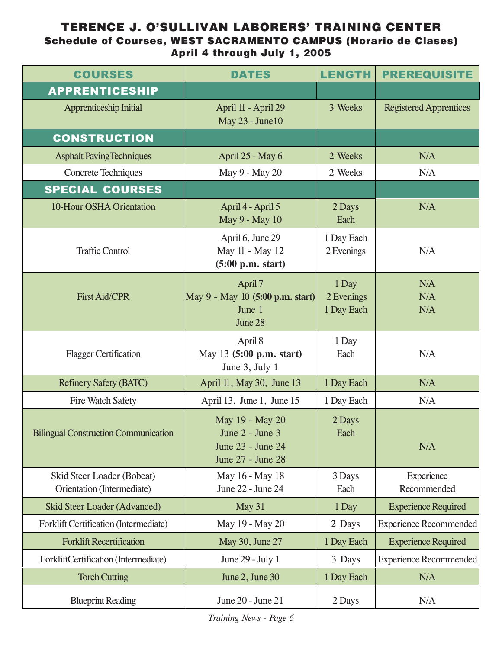#### **TERENCE J. O'SULLIVAN LABORERS' TRAINING CENTER Schedule of Courses, WEST SACRAMENTO CAMPUS (Horario de Clases) April 4 through July 1, 2005**

| <b>COURSES</b>                                           | <b>DATES</b>                                                                 | <b>LENGTH</b>                     | <b>PREREQUISITE</b>           |
|----------------------------------------------------------|------------------------------------------------------------------------------|-----------------------------------|-------------------------------|
| <b>APPRENTICESHIP</b>                                    |                                                                              |                                   |                               |
| <b>Apprenticeship Initial</b>                            | April 11 - April 29<br>May 23 - June10                                       | 3 Weeks                           | <b>Registered Apprentices</b> |
| <b>CONSTRUCTION</b>                                      |                                                                              |                                   |                               |
| <b>Asphalt Paving Techniques</b>                         | April 25 - May 6                                                             | 2 Weeks                           | N/A                           |
| <b>Concrete Techniques</b>                               | May 9 - May 20                                                               | 2 Weeks                           | N/A                           |
| <b>SPECIAL COURSES</b>                                   |                                                                              |                                   |                               |
| 10-Hour OSHA Orientation                                 | April 4 - April 5<br>May 9 - May 10                                          | 2 Days<br>Each                    | N/A                           |
| <b>Traffic Control</b>                                   | April 6, June 29<br>May 11 - May 12<br>(5:00 p.m. start)                     | 1 Day Each<br>2 Evenings          | N/A                           |
| <b>First Aid/CPR</b>                                     | April 7<br>May 9 - May 10 (5:00 p.m. start)<br>June 1<br>June 28             | 1 Day<br>2 Evenings<br>1 Day Each | N/A<br>N/A<br>N/A             |
| <b>Flagger Certification</b>                             | April 8<br>May 13 (5:00 p.m. start)<br>June 3, July 1                        | 1 Day<br>Each                     | N/A                           |
| <b>Refinery Safety (BATC)</b>                            | April 11, May 30, June 13                                                    | 1 Day Each                        | N/A                           |
| Fire Watch Safety                                        | April 13, June 1, June 15                                                    | 1 Day Each                        | N/A                           |
| <b>Bilingual Construction Communication</b>              | May 19 - May 20<br>June 2 - June 3<br>June 23 - June 24<br>June 27 - June 28 | 2 Days<br>Each                    | N/A                           |
| Skid Steer Loader (Bobcat)<br>Orientation (Intermediate) | May 16 - May 18<br>June 22 - June 24                                         | 3 Days<br>Each                    | Experience<br>Recommended     |
| <b>Skid Steer Loader (Advanced)</b>                      | May 31                                                                       | 1 Day                             | <b>Experience Required</b>    |
| Forklift Certification (Intermediate)                    | May 19 - May 20                                                              | 2 Days                            | <b>Experience Recommended</b> |
| <b>Forklift Recertification</b>                          | May 30, June 27                                                              | 1 Day Each                        | <b>Experience Required</b>    |
| ForkliftCertification (Intermediate)                     | June 29 - July 1                                                             | 3 Days                            | <b>Experience Recommended</b> |
| <b>Torch Cutting</b>                                     | June 2, June 30                                                              | 1 Day Each                        | N/A                           |
| <b>Blueprint Reading</b>                                 | June 20 - June 21                                                            | 2 Days                            | N/A                           |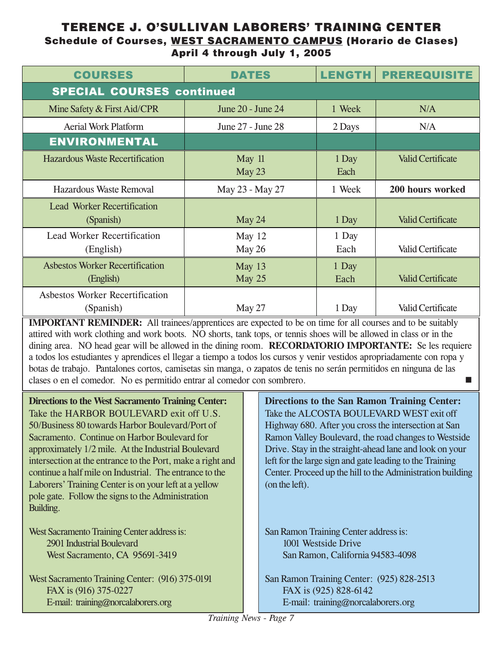#### **TERENCE J. O'SULLIVAN LABORERS' TRAINING CENTER Schedule of Courses, WEST SACRAMENTO CAMPUS (Horario de Clases) April 4 through July 1, 2005**

| <b>COURSES</b>                                      | <b>DATES</b>         | <b>LENGTH</b> | <b>PREREQUISITE</b>      |
|-----------------------------------------------------|----------------------|---------------|--------------------------|
| <b>SPECIAL COURSES continued</b>                    |                      |               |                          |
| Mine Safety & First Aid/CPR                         | June 20 - June 24    | 1 Week        | N/A                      |
| <b>Aerial Work Platform</b>                         | June 27 - June 28    | 2 Days        | N/A                      |
| <b>ENVIRONMENTAL</b>                                |                      |               |                          |
| <b>Hazardous Waste Recertification</b>              | May 11<br>May 23     | 1 Day<br>Each | <b>Valid Certificate</b> |
| <b>Hazardous Waste Removal</b>                      | May 23 - May 27      | 1 Week        | 200 hours worked         |
| <b>Lead Worker Recertification</b><br>(Spanish)     | May 24               | 1 Day         | <b>Valid Certificate</b> |
| <b>Lead Worker Recertification</b><br>(English)     | May $12$<br>May $26$ | 1 Day<br>Each | <b>Valid Certificate</b> |
| <b>Asbestos Worker Recertification</b><br>(English) | May 13<br>May 25     | 1 Day<br>Each | <b>Valid Certificate</b> |
| Asbestos Worker Recertification<br>(Spanish)        | May 27               | 1 Day         | <b>Valid Certificate</b> |

**IMPORTANT REMINDER:** All trainees/apprentices are expected to be on time for all courses and to be suitably attired with work clothing and work boots. NO shorts, tank tops, or tennis shoes will be allowed in class or in the dining area. NO head gear will be allowed in the dining room. **RECORDATORIO IMPORTANTE:** Se les requiere a todos los estudiantes y aprendices el llegar a tiempo a todos los cursos y venir vestidos apropriadamente con ropa y botas de trabajo. Pantalones cortos, camisetas sin manga, o zapatos de tenis no serán permitidos en ninguna de las clases o en el comedor. No es permitido entrar al comedor con sombrero. -

**Directions to the West Sacramento Training Center:** Take the HARBOR BOULEVARD exit off U.S. 50/Business 80 towards Harbor Boulevard/Port of Sacramento. Continue on Harbor Boulevard for approximately 1/2 mile. At the Industrial Boulevard intersection at the entrance to the Port, make a right and continue a half mile on Industrial. The entrance to the Laborers' Training Center is on your left at a yellow pole gate. Follow the signs to the Administration Building.

West Sacramento Training Center address is: 2901 Industrial Boulevard West Sacramento, CA 95691-3419

West Sacramento Training Center: (916) 375-0191 FAX is (916) 375-0227 E-mail: training@norcalaborers.org

**Directions to the San Ramon Training Center:** Take the ALCOSTA BOULEVARD WEST exit off Highway 680. After you cross the intersection at San Ramon Valley Boulevard, the road changes to Westside Drive. Stay in the straight-ahead lane and look on your left for the large sign and gate leading to the Training Center. Proceed up the hill to the Administration building (on the left).

San Ramon Training Center address is: 1001 Westside Drive San Ramon, California 94583-4098

San Ramon Training Center: (925) 828-2513 FAX is (925) 828-6142 E-mail: training@norcalaborers.org